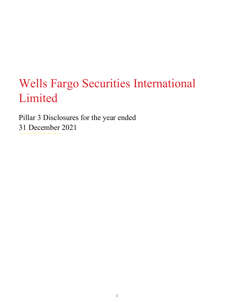# Wells Fargo Securities International Limited

 Pillar 3 Disclosures for the year ended 31 December 2021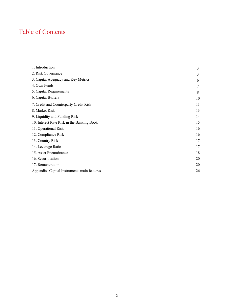#### Table of Contents

| 1. Introduction                              | 3  |
|----------------------------------------------|----|
| 2. Risk Governance                           | 3  |
| 3. Capital Adequacy and Key Metrics          | 6  |
| 4. Own Funds                                 | 7  |
| 5. Capital Requirements                      | 8  |
| 6. Capital Buffers                           | 10 |
| 7. Credit and Counterparty Credit Risk       | 11 |
| 8. Market Risk                               | 13 |
| 9. Liquidity and Funding Risk                | 14 |
| 10. Interest Rate Risk in the Banking Book   | 15 |
| 11. Operational Risk                         | 16 |
| 12. Compliance Risk                          | 16 |
| 13. Country Risk                             | 17 |
| 14. Leverage Ratio                           | 17 |
| 15. Asset Encumbrance                        | 18 |
| 16. Securitisation                           | 20 |
| 17. Remuneration                             | 20 |
| Appendix - Capital Instruments main features | 26 |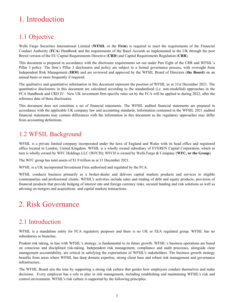# <span id="page-2-0"></span>1. Introduction

#### 1.1 Objective

 Wells Fargo Securities International Limited (**WFSIL** or the **Firm**) is required to meet the requirements of the Financial Conduct Authority (**FCA**) Handbook and the requirements of the Basel Accords as implemented in the UK through the post Brexit version of the EU Capital Requirements Directive (**CRD**) and Capital Requirements Regulation (**CRR**).

 This document is prepared in accordance with the disclosure requirements set out under Part Eight of the CRR and WFSIL's Pillar 3 policy. The firm's Pillar 3 disclosures and policy are subject to a formal governance process, with oversight from Independent Risk Management (**IRM**) and are reviewed and approved by the WFSIL Board of Directors (**the Board**) on an annual basis or more frequently if required.

 The qualitative and quantitative information in this document represent the position of WFSIL as at 31st December 2021. The quantitative disclosures in this document are calculated according to the standardised (i.e. non-modelled) approaches in the FCA Handbook and CRD IV. New UK investment firm specific rules set by the FCA will be applied to during 2022, after the reference date of these disclosures.

 This document does not constitute a set of financial statements. The WFSIL audited financial statements are prepared in accordance with the applicable UK company law and accounting standards. Information contained in the WFSIL 2021 audited financial statements may contain differences with the information in this document as the regulatory approaches may differ from accounting definitions.

#### 1.2 WFSIL Background

 WFSIL is a private limited company incorporated under the laws of England and Wales with its head office and registered office located in London, United Kingdom. WFSIL is a wholly owned subsidiary of EVEREN Capital Corporation, which in turn is wholly owned by WFC Holdings LLC (WFCH); WFCH is owned by Wells Fargo & Company (**WFC, or the Group**).

The WFC group has total assets of \$1.9 trillion as at 31 December 2021.

WFSIL is a UK incorporated Investment Firm authorised and regulated by the FCA.

 WFSIL conducts business primarily as a broker-dealer and delivers capital markets products and services to eligible counterparties and professional clients. WFSIL's activities include sales and trading of debt and equity products, provision of financial products that provide hedging of interest rate and foreign currency risks, secured funding and risk solutions as well as advising on mergers and acquisitions and capital markets transactions.

# 2. Risk Governance

#### 2.1 Introduction

 WFSIL is a standalone entity for FCA regulatory purposes and there is no UK or EEA regulated group. WFSIL has no subsidiaries or branches.

 Prudent risk taking, in line with WFSIL's strategy, is fundamental to its future growth. WFSIL's business operations are based on conscious and disciplined risk-taking. Independent risk management, compliance and audit processes, alongside clear management accountability, are critical in satisfying the expectations of WFSIL's stakeholders. The business growth strategy benefits from areas where WFSIL has deep domain expertise, strong client base and robust risk management and governance infrastructure.

 The WFSIL Board sets the tone by supporting a strong risk culture that guides how employees conduct themselves and make decisions. Every employee has a role to play in risk management, including establishing and maintaining WFSIL's risk and control environment. WFSIL's risk culture is supported by the following principles: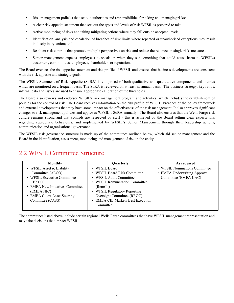- Risk management policies that set out authorities and responsibilities for taking and managing risks;
- A clear risk appetite statement that sets out the types and levels of risk WFSIL is prepared to take;
- Active monitoring of risks and taking mitigating actions where they fall outside accepted levels;
- • Identification, analysis and escalation of breaches of risk limits where repeated or unauthorised exceptions may result in disciplinary action; and
- Resilient risk controls that promote multiple perspectives on risk and reduce the reliance on single risk measures.
- • Senior management expects employees to speak up when they see something that could cause harm to WFSIL's customers, communities, employees, shareholders or reputation.

 The Board oversees the risk appetite statement and risk profile of WFSIL and ensures that business developments are consistent with the risk appetite and strategic goals.

 The WFSIL Statement of Risk Appetite (**SoRA**) is comprised of both qualitative and quantitative components and metrics which are monitored on a frequent basis. The SoRA is reviewed on at least an annual basis. The business strategy, key ratios, internal data and issues are used to ensure appropriate calibration of the thresholds.

 The Board also reviews and endorses WFSIL's risk management program and activities, which includes the establishment of policies for the control of risk. The Board receives information on the risk profile of WFSIL, breaches of the policy framework and external developments that may have some impact on the effectiveness of the risk management. It also approves significant changes to risk management policies and approves WFSIL's SoRA annually. The Board also ensures that the Wells Fargo risk culture remains strong and that controls are respected by staff - this is achieved by the Board setting clear expectations regarding appropriate behaviours; and implemented by WFSIL's Senior Management through their leadership actions, communication and organisational governance.

 The WFSIL risk governance structure is made up of the committees outlined below, which aid senior management and the Board in the identification, assessment, monitoring and management of risk in the entity.

#### 2.2 WFSIL Committee Structure

| <b>Monthly</b>                   | Quarterly                         | As required                   |
|----------------------------------|-----------------------------------|-------------------------------|
| • WFSIL Asset & Liability        | • WFSIL Board                     | • WFSIL Nominations Committee |
| Committee (ALCO)                 | • WFSIL Board Risk Committee      | • EMEA Underwriting Approval  |
| • WFSIL Executive Committee      | • WFSIL Audit Committee           | Committee (EMEA UAC)          |
| (EXCO)                           | • WFSIL Remuneration Committee    |                               |
| • EMEA New Initiatives Committee | (RemCo)                           |                               |
| (EMEA NIC)                       | • WFSIL Regulatory Reporting      |                               |
| • EMEA Client Asset Steering     | Oversight Committee (RROC)        |                               |
| Committee (CASS)                 | • EMEA CIB Markets Best Execution |                               |
|                                  | Committee                         |                               |
|                                  |                                   |                               |

 The committees listed above include certain regional Wells Fargo committees that have WFSIL management representation and may take decisions that impact WFSIL.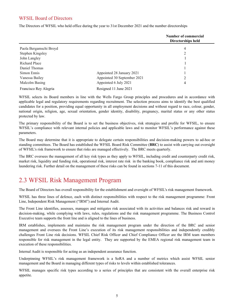#### WFSIL Board of Directors

The Directors of WFSIL who held office during the year to 31st December 2021 and the number directorships

|                        |                             | Number of commercial<br>Directorships held |
|------------------------|-----------------------------|--------------------------------------------|
| Paola Bergamschi Broyd |                             | 4                                          |
| Stephen Kingsley       |                             | 2                                          |
| John Langley           |                             |                                            |
| Richard Place          |                             |                                            |
| Daniel Thomas          |                             |                                            |
| Simon Ennis            | Appointed 28 January 2021   |                                            |
| Vanessa Bailey         | Appointed 30 September 2021 | 2                                          |
| Malcolm Basing         | Appointed 6 July 2021       | 4                                          |
| Francisco Rey Alegria  | Resigned 11 June 2021       |                                            |

 WFSIL selects its Board members in line with the Wells Fargo Group principles and procedures and in accordance with applicable legal and regulatory requirements regarding recruitment. The selection process aims to identify the best qualified candidates for a position, providing equal opportunity in all employment decisions and without regard to race, colour, gender, national origin, religion, age, sexual orientation, gender identity, disability, pregnancy, marital status or any other status protected by law.

 The primary responsibility of the Board is to set the business objectives, risk strategies and profile for WFSIL, to ensure WFSIL's compliance with relevant internal policies and applicable laws and to monitor WFSIL's performance against these parameters.

 The Board may determine that it is appropriate to delegate certain responsibilities and decision-making powers to ad-hoc or standing committees. The Board has established the WFSIL Board Risk Committee (**BRC**) to assist with carrying out oversight of WFSIL's risk framework to ensure that risks are managed effectively. The BRC meets quarterly.

 The BRC oversees the management of all key risk types as they apply to WFSIL, including credit and counterparty credit risk, market risk, liquidity and funding risk, operational risk, interest rate risk in the banking book, compliance risk and anti money laundering risk. Further detail on the management of these risks can be found in sections 7-11 of this document.

#### 2.3 WFSIL Risk Management Program

The Board of Directors has overall responsibility for the establishment and oversight of WFSIL's risk management framework.

 WFSIL has three lines of defence, each with distinct responsibilities with respect to the risk management programme: Front Line, Independent Risk Management ("IRM") and Internal Audit.

 The Front Line identifies, assesses, manages and mitigates risk associated with its activities and balances risk and reward in decision-making, while complying with laws, rules, regulations and the risk management programme. The Business Control Executive team supports the front line and is aligned to the lines of business.

 IRM establishes, implements and maintains the risk management program under the direction of the BRC and senior management and oversees the Front Line's execution of its risk management responsibilities and independently credibly challenges Front Line risk decisions. WFSIL Chief Risk Officer and Chief Compliance Officer are the IRM team members responsible for risk management in the legal entity. They are supported by the EMEA regional risk management team in execution of these responsibilities.

Internal Audit is responsible for acting as an independent assurance function.

 Underpinning WFSIL's risk management framework is a SoRA and a number of metrics which assist WFSIL senior management and the Board in managing different types of risks to levels within established tolerances.

 WFSIL manages specific risk types according to a series of principles that are consistent with the overall enterprise risk appetite.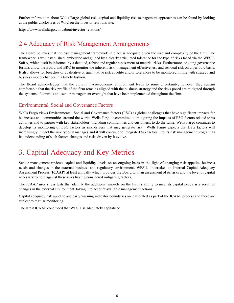<span id="page-5-0"></span> Further information about Wells Fargo global risk, capital and liquidity risk management approaches can be found by looking at the public disclosures of WFC on the investor relations site:

[https://www.wellsfargo.com/about/investor-relations/](https://www.wellsfargo.com/about/investor-relations)

#### 2.4 Adequacy of Risk Management Arrangements

 The Board believes that the risk management framework in place is adequate given the size and complexity of the firm. The framework is well established, embedded and guided by a clearly articulated tolerance for the type of risks faced via the WFSIL SoRA, which itself is informed by a detailed, robust and regular assessment of material risks. Furthermore, ongoing governance forums allow the Board and BRC to monitor the inherent risk, management effectiveness and residual risk on a periodic basis. It also allows for breaches of qualitative or quantitative risk appetite and/or tolerances to be monitored in line with strategy and business model changes in a timely fashion.

 The Board acknowledges that the current macroeconomic environment leads to some uncertainty, however they remain comfortable that the risk profile of the firm remains aligned with the business strategy and the risks posed are mitigated through the systems of controls and senior management oversight that have been implemented throughout the firm.

#### Environmental, Social and Governance Factors

 Wells Fargo views Environmental, Social and Governance factors (ESG) as global challenges that have significant impacts for businesses and communities around the world. Wells Fargo is committed to mitigating the impacts of ESG factors related to its activities and to partner with key stakeholders, including communities and customers, to do the same. Wells Fargo continues to develop its monitoring of ESG factors as risk drivers that may generate risk. Wells Fargo expects that ESG factors will increasingly impact the risk types it manages and it will continue to integrate ESG factors into its risk management program as its understanding of such factors changes and risks driven by it evolve.

# 3. Capital Adequacy and Key Metrics

 Senior management reviews capital and liquidity levels on an ongoing basis in the light of changing risk appetite, business needs and changes in the external business and regulatory environment. WFSIL undertakes an Internal Capital Adequacy Assessment Process (**ICAAP**) at least annually which provides the Board with an assessment of its risks and the level of capital necessary to hold against these risks having considered mitigating factors.

 The ICAAP uses stress tests that identify the additional impacts on the Firm's ability to meet its capital needs as a result of changes in the external environment, taking into account available management actions.

 Capital adequacy risk appetite and early warning indicator boundaries are calibrated as part of the ICAAP process and these are subject to regular monitoring.

The latest ICAAP concluded that WFSIL is adequately capitalised.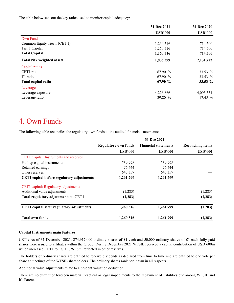<span id="page-6-0"></span>The table below sets out the key ratios used to monitor capital adequacy:

|                              | 31 Dec 2021    | 31 Dec 2020    |
|------------------------------|----------------|----------------|
|                              | <b>USD'000</b> | <b>USD'000</b> |
| <b>Own Funds</b>             |                |                |
| Common Equity Tier 1 (CET 1) | 1,260,516      | 714,500        |
| Tier 1 Capital               | 1,260,516      | 714,500        |
| <b>Total Capital</b>         | 1,260,516      | 714,500        |
| Total risk weighted assets   | 1,856,399      | 2,131,222      |
| Capital ratios               |                |                |
| CET1 ratio                   | 67.90 %        | 33.53 %        |
| T1 ratio                     | 67.90 %        | 33.53 %        |
| Total capital ratio          | 67.90 %        | 33.53 %        |
| Leverage                     |                |                |
| Leverage exposure            | 4,226,866      | 4,095,551      |
| Leverage ratio               | 29.80 %        | 17.45 %        |

#### 4. Own Funds

The following table reconciles the regulatory own funds to the audited financial statements:

|                                             |                             | 31 Dec 2021                 |                          |
|---------------------------------------------|-----------------------------|-----------------------------|--------------------------|
|                                             | <b>Regulatory own funds</b> | <b>Financial statements</b> | <b>Reconciling items</b> |
|                                             | <b>USD'000</b>              | <b>USD'000</b>              | <b>USD'000</b>           |
| CET1 Capital: Instruments and reserves      |                             |                             |                          |
| Paid up capital instruments                 | 539,998                     | 539,998                     |                          |
| Retained earnings                           | 76,444                      | 76,444                      |                          |
| Other reserves                              | 645,357                     | 645,357                     |                          |
| CET1 capital before regulatory adjustments  | 1,261,799                   | 1,261,799                   |                          |
| CET1 capital: Regulatory adjustments        |                             |                             |                          |
| Additional value adjustments                | (1,283)                     |                             | (1,283)                  |
| <b>Total regulatory adjustments to CET1</b> | (1,283)                     |                             | (1,283)                  |
| CET1 capital after regulatory adjustments   | 1,260,516                   | 1,261,799                   | (1,283)                  |
| <b>Total own funds</b>                      | 1,260,516                   | 1,261,799                   | (1, 283)                 |

#### **Capital Instruments main features**

CET1: As of 31 December 2021, 274,917,000 ordinary shares of \$1 each and 50,000 ordinary shares of £1 each fully paid shares were issued to affiliates within the Group. During December 2021 WFSIL received a capital contribution of USD 600m which increased CET1 to USD 1,261.8m, reflected in other reserves.

 The holders of ordinary shares are entitled to receive dividends as declared from time to time and are entitled to one vote per share at meetings of the WFSIL shareholders. The ordinary shares rank pari passu in all respects.

Additional value adjustments relate to a prudent valuation deduction.

 There are no current or foreseen material practical or legal impediments to the repayment of liabilities due among WFSIL and it's Parent.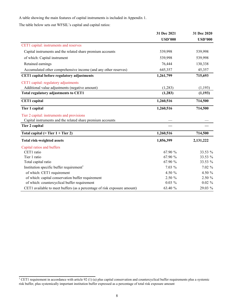<span id="page-7-0"></span>A table showing the main features of capital instruments is included in Appendix 1.

The table below sets out WFSIL's capital and capital ratios:

|                                                                          | 31 Dec 2021    | 31 Dec 2020    |  |
|--------------------------------------------------------------------------|----------------|----------------|--|
|                                                                          | <b>USD'000</b> | <b>USD'000</b> |  |
| CET1 capital: instruments and reserves                                   |                |                |  |
| Capital instruments and the related share premium accounts               | 539,998        | 539,998        |  |
| of which: Capital instrument                                             | 539,998        | 539,998        |  |
| Retained earnings                                                        | 76,444         | 130,338        |  |
| Accumulated other comprehensive income (and any other reserves)          | 645,357        | 45,357         |  |
| CET1 capital before regulatory adjustments                               | 1,261,799      | 715,693        |  |
| CET1 capital: regulatory adjustments                                     |                |                |  |
| Additional value adjustments (negative amount)                           | (1,283)        | (1,193)        |  |
| Total regulatory adjustments to CET1                                     | (1, 283)       | (1, 193)       |  |
| <b>CET1</b> capital                                                      | 1,260,516      | 714,500        |  |
| Tier 1 capital                                                           | 1,260,516      | 714,500        |  |
| Tier 2 capital: instruments and provisions                               |                |                |  |
| Capital instruments and the related share premium accounts               |                |                |  |
| Tier 2 capital                                                           |                |                |  |
| Total capital $(=$ Tier $1 +$ Tier 2)                                    | 1,260,516      | 714,500        |  |
| <b>Total risk-weighted assets</b>                                        | 1,856,399      | 2,131,222      |  |
| Capital ratios and buffers                                               |                |                |  |
| CET1 ratio                                                               | 67.90 %        | 33.53 %        |  |
| Tier 1 ratio                                                             | 67.90 %        | 33.53 %        |  |
| Total capital ratio                                                      | 67.90 %        | 33.53 %        |  |
| Institution specific buffer requirement <sup>1</sup>                     | 7.03 %         | 7.02%          |  |
| of which: CET1 requirement                                               | 4.50 $%$       | 4.50 %         |  |
| of which: capital conservation buffer requirement                        | 2.50 %         | 2.50 %         |  |
| of which: countercyclical buffer requirement                             | $0.03\%$       | $0.02 \%$      |  |
| CET1 available to meet buffers (as a percentage of risk exposure amount) | 63.40 %        | 29.03 %        |  |

<sup>&</sup>lt;sup>1</sup> CET1 requirement in accordance with article 92 (1) (a) plus capital conservation and countercyclical buffer requirements plus a systemic risk buffer, plus systemically important institution buffer expressed as a percentage of total risk exposure amount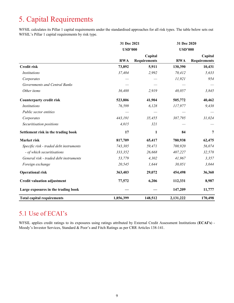# 5. Capital Requirements

 WFSIL calculates its Pillar 1 capital requirements under the standardised approaches for all risk types. The table below sets out WFSIL's Pillar 1 capital requirements by risk type.

|                                         |                | 31 Dec 2021                    |                | 31 Dec 2020                    |
|-----------------------------------------|----------------|--------------------------------|----------------|--------------------------------|
|                                         | <b>USD'000</b> |                                | <b>USD'000</b> |                                |
|                                         | <b>RWA</b>     | Capital<br><b>Requirements</b> | <b>RWA</b>     | Capital<br><b>Requirements</b> |
| <b>Credit risk</b>                      | 73,892         | 5,911                          | 130,390        | 10,431                         |
| <i>Institutions</i>                     | 37,404         | 2,992                          | 70,412         | 5,633                          |
| Corporates                              |                |                                | 11,921         | 954                            |
| Governments and Central Banks           |                |                                |                |                                |
| Other items                             | 36,488         | 2,919                          | 48,057         | 3,845                          |
| <b>Counterparty credit risk</b>         | 523,806        | 41,904                         | 505,772        | 40,462                         |
| <i>Institutions</i>                     | 76,599         | 6,128                          | 117,977        | 9,438                          |
| Public sector entities                  |                |                                |                |                                |
| Corporates                              | 443,191        | 35,455                         | 387,795        | 31,024                         |
| Securitisation positions                | 4,015          | 321                            |                |                                |
| Settlement risk in the trading book     | 17             | $\mathbf{1}$                   | 84             | 7                              |
| Market risk                             | 817,709        | 65,417                         | 780,938        | 62,475                         |
| Specific risk - traded debt instruments | 743,385        | 59,471                         | 700,920        | 56,074                         |
| - of which securitisations              | 333,352        | 26,668                         | 407,227        | 32,578                         |
| General risk - traded debt instruments  | 53,779         | 4,302                          | 41,967         | 3,357                          |
| Foreign exchange                        | 20,545         | 1,644                          | 38,051         | 3,044                          |
| <b>Operational risk</b>                 | 363,403        | 29,072                         | 454,498        | 36,360                         |
| <b>Credit valuation adjustment</b>      | 77,572         | 6,206                          | 112,331        | 8,987                          |
| Large exposures in the trading book     |                |                                | 147,209        | 11,777                         |
| <b>Total capital requirements</b>       | 1,856,399      | 148,512                        | 2,131,222      | 170,498                        |

#### 5.1 Use of ECAI's

 WFSIL applies credit ratings to its exposures using ratings attributed by External Credit Assessment Institutions (**ECAI's**) - Moody's Investor Services, Standard & Poor's and Fitch Ratings as per CRR Articles 138-141.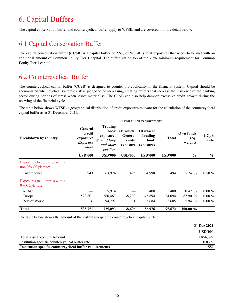# <span id="page-9-0"></span>6. Capital Buffers

The capital conservation buffer and countercyclical buffer apply to WFSIL and are covered in more detail below.

#### 6.1 Capital Conservation Buffer

 The capital conservation buffer (**CCoB**) is a capital buffer of 2.5% of WFSIL's total exposures that needs to be met with an additional amount of Common Equity Tier 1 capital. The buffer sits on top of the 4.5% minimum requirement for Common Equity Tier 1 capital.

#### 6.2 Countercyclical Buffer

 The countercyclical capital buffer (**CCyB**) is designed to counter pro-cyclicality in the financial system. Capital should be accumulated when cyclical systemic risk is judged to be increasing, creating buffers that increase the resilience of the banking sector during periods of stress when losses materialise. The CCyB can also help dampen excessive credit growth during the upswing of the financial cycle.

 The table below shows WFSIL's geographical distribution of credit exposures relevant for the calculation of the countercyclical capital buffer as at 31 December 2021:

|                                                       |                                                            | Own funds requirement                                                              |                                            |                                                  |                |                              |              |
|-------------------------------------------------------|------------------------------------------------------------|------------------------------------------------------------------------------------|--------------------------------------------|--------------------------------------------------|----------------|------------------------------|--------------|
| <b>Breakdown by country</b>                           | General<br>credit<br>exposure:<br><b>Exposure</b><br>value | <b>Trading</b><br>book<br>exposure:<br><b>Sum of long</b><br>and short<br>position | Of which:<br>General<br>credit<br>exposure | Of which:<br><b>Trading</b><br>book<br>exposures | <b>Total</b>   | Own funds<br>req.<br>weights | CCyB<br>rate |
|                                                       | <b>USD'000</b>                                             | <b>USD'000</b>                                                                     | <b>USD'000</b>                             | <b>USD'000</b>                                   | <b>USD'000</b> | $\frac{6}{9}$                | $\%$         |
| Exposures to countries with a<br>non $0\%$ CCyB rate: |                                                            |                                                                                    |                                            |                                                  |                |                              |              |
| Luxembourg                                            | 6,943                                                      | 63,924                                                                             | 495                                        | 4,998                                            | 5,494          | 5.74 $%$                     | $0.50 \%$    |
| Exposures to countries with a<br>$0\%$ CCyB rate:     |                                                            |                                                                                    |                                            |                                                  |                |                              |              |
| <b>APAC</b>                                           |                                                            | 5,914                                                                              |                                            | 400                                              | 400            | $0.42 \%$                    | $0.00 \%$    |
| Europe                                                | 528,801                                                    | 560,463                                                                            | 38,200                                     | 45,894                                           | 84,094         | 87.90 %                      | $0.00 \%$    |
| Rest of World                                         | 6                                                          | 94,792                                                                             |                                            | 5,684                                            | 5,685          | 5.94 %                       | $0.00 \%$    |
| <b>Total</b>                                          | 535,751                                                    | 725,093                                                                            | 38,696                                     | 56,976                                           | 95,672         | 100.00 %                     |              |

The table below shows the amount of the institution-specific countercyclical capital buffer:

|                                                          | 31 Dec 2021 |
|----------------------------------------------------------|-------------|
|                                                          | USD'000     |
| <b>Total Risk Exposure Amount</b>                        | 1,856,399   |
| Institution specific countercyclical buffer rate         | $0.03\%$    |
| Institution specific countercyclical buffer requirements | 557         |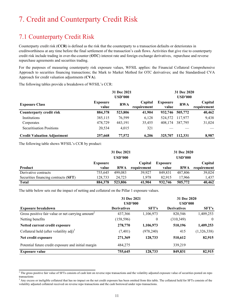# <span id="page-10-0"></span>7. Credit and Counterparty Credit Risk

#### 7.1 Counterparty Credit Risk

 Counterparty credit risk (**CCR**) is defined as the risk that the counterparty to a transaction defaults or deteriorates in creditworthiness at any time before the final settlement of the transaction's cash flows. Activities that give rise to counterparty credit risk include trading in over-the-counter (**OTC**) interest rate and foreign exchange derivatives, repurchase and reverse repurchase agreements and securities trading.

 For the purposes of measuring counterparty risk exposure values, WFSIL applies: the Financial Collateral Comprehensive Approach to securities financing transactions; the Mark to Market Method for OTC derivatives; and the Standardised CVA Approach for credit valuation adjustments (**CVA**).

The following tables provide a breakdown of WFSIL's CCR:

|                                    |                          | 31 Dec 2021    |                        |                          | 31 Dec 2020    |                        |
|------------------------------------|--------------------------|----------------|------------------------|--------------------------|----------------|------------------------|
|                                    |                          | <b>USD'000</b> |                        |                          | <b>USD'000</b> |                        |
| <b>Exposure Class</b>              | <b>Exposure</b><br>value | <b>RWA</b>     | Capital<br>requirement | <b>Exposure</b><br>value | <b>RWA</b>     | Capital<br>requirement |
| <b>Counterparty credit risk</b>    | 884,378                  | 523,806        | 41,904                 | 932,746                  | 505,772        | 40,462                 |
| Institutions                       | 385,115                  | 76,599         | 6,128                  | 524,572                  | 117,977        | 9,438                  |
| Corporates                         | 478,729                  | 443,191        | 35,455                 | 408,174                  | 387,795        | 31,024                 |
| <b>Securitisation Positions</b>    | 20,534                   | 4,015          | 321                    |                          |                |                        |
| <b>Credit Valuation Adjustment</b> | 257,668                  | 77,572         | 6.206                  | 325,707                  | 112.331        | 8,987                  |

The following table shows WFSIL's CCR by product:

|                                      |          | 31 Dec 2021    |             |          | 31 Dec 2020    |             |
|--------------------------------------|----------|----------------|-------------|----------|----------------|-------------|
|                                      |          | <b>USD'000</b> |             |          | <b>USD'000</b> |             |
|                                      | Exposure |                | Capital     | Exposure |                | Capital     |
| Product                              | value    | <b>RWA</b>     | requirement | value    | <b>RWA</b>     | requirement |
| Derivative contracts                 | 755.645  | 499.083        | 39.927      | 849.831  | 487.806        | 39,024      |
| Securities financing contracts (SFT) | 128.733  | 24.723         | 1.978       | 82.915   | 17.966         | 1.437       |
| <b>Total</b>                         | 884,378  | 523,806        | 41.904      | 932,746  | 505,772        | 40,462      |

The table below sets out the impact of netting and collateral on the Pillar 1 exposure values.

|                                                               | 31 Dec 2021<br><b>USD'000</b> |            | 31 Dec 2020<br><b>USD'000</b> |              |
|---------------------------------------------------------------|-------------------------------|------------|-------------------------------|--------------|
| <b>Exposure breakdown</b>                                     | <b>Derivatives</b>            | SFT's      | <b>Derivatives</b>            | <b>SFT's</b> |
| Gross positive fair value or net carrying amount <sup>2</sup> | 437,366                       | 1,106,973  | 820,546                       | 1,409,253    |
| Netting benefits                                              | (158, 596)                    | $\theta$   | (310, 349)                    | $\theta$     |
| Netted current credit exposure                                | 278,770                       | 1,106,973  | 510,196                       | 1,409,253    |
| Collateral held (after volatility $adj$ ) <sup>3</sup>        | (7, 401)                      | (978, 240) | 415                           | (1,326,338)  |
| Net credit exposure                                           | 271,369                       | 128,733    | 510,612                       | 82,915       |
| Potential future credit exposure and initial margin           | 484,275                       |            | 339,219                       |              |
| <b>Exposure value</b>                                         | 755,645                       | 128,733    | 849,831                       | 82,915       |

 $^2$  The gross positive fair value of SFTs consists of cash lent on reverse repo transactions and the volatility adjusted exposure value of securities posted on repo transactions

 $3$  Any excess or ineligible collateral that has no impact on the net credit exposure has been omitted from this table. The collateral held for SFTs consists of the volatility adjusted collateral received on reverse repo transactions and the cash borrowed under repo transactions.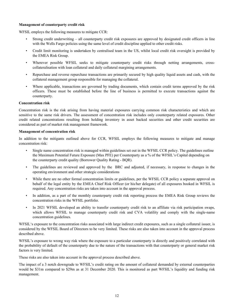#### **Management of counterparty credit risk**

WFSIL employs the following measures to mitigate CCR:

- • Strong credit underwriting all counterparty credit risk exposures are approved by designated credit officers in line with the Wells Fargo policies using the same level of credit discipline applied to other credit risks.
- • Credit limit monitoring is undertaken by centralised team in the US, whilst local credit risk oversight is provided by the EMEA Risk Group.
- • Wherever possible WFSIL seeks to mitigate counterparty credit risks through netting arrangements, cross-collateralisation with loan collateral and daily collateral margining arrangements.
- • Repurchase and reverse repurchase transactions are primarily secured by high quality liquid assets and cash, with the collateral management group responsible for managing the collateral.
- • Where applicable, transactions are governed by trading documents, which contain credit terms approved by the risk officers. These must be established before the line of business is permitted to execute transactions against the counterparty.

#### **Concentration risk**

 Concentration risk is the risk arising from having material exposures carrying common risk characteristics and which are sensitive to the same risk drivers. The assessment of concentration risk includes only counterparty related exposures. Other credit related concentrations resulting from holding inventory in asset backed securities and other credit securities are considered as part of market risk management framework.

#### **Management of concentration risk**

 In addition to the mitigants outlined above for CCR, WFSIL employs the following measures to mitigate and manage concentration risk:

- • Single name concentration risk is managed within guidelines set out in the WFSIL CCR policy. The guidelines outline the Maximum Potential Future Exposure (Max PFE) per Counterparty as a % of the WFSIL's Capital depending on the counterparty credit quality (Borrower Quality Rating - BQR).
- • The guidelines are reviewed and approved by the BRC and adjusted, if necessary, in response to changes in the operating environment and other strategic considerations
- • While there are no other formal concentration limits or guidelines, per the WFSIL CCR policy a separate approval on behalf of the legal entity by the EMEA Chief Risk Officer (or his/her delegate) of all exposures booked in WFSIL is required. Any concentration risks are taken into account in the approval process.
- • In addition, as a part of the monthly counterparty credit risk reporting process the EMEA Risk Group reviews the concentration risks in the WFSIL portfolio.
- • In 2021 WFSIL developed an ability to transfer counterparty credit risk to an affiliate via risk participation swaps, which allows WFSIL to manage counterparty credit risk and CVA volatility and comply with the single-name concentration guidelines.

 WFSIL's exposure to the concentration risks associated with large indirect credit exposures, such as a single collateral issuer, is considered by the WFSIL Board of Directors to be very limited. These risks are also taken into account in the approval process described above.

 WFSIL's exposure to wrong way risk where the exposure to a particular counterparty is directly and positively correlated with the probability of default of the counterparty due to the nature of the transactions with that counterparty or general market risk factors is very limited.

These risks are also taken into account in the approval process described above.

 The impact of a 3 notch downgrade to WFSIL's credit rating on the amount of collateral demanded by external counterparties would be \$31m compared to \$29m as at 31 December 2020. This is monitored as part WFSIL's liquidity and funding risk management.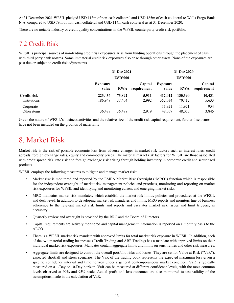<span id="page-12-0"></span> At 31 December 2021 WFSIL pledged USD 113m of non-cash collateral and USD 185m of cash collateral to Wells Fargo Bank N.A. compared to USD 79m of non-cash collateral and USD 114m cash collateral as at 31 December 2020.

There are no notable industry or credit quality concentrations in the WFSIL counterparty credit risk portfolio.

#### 7.2 Credit Risk

 WFSIL's principal sources of non-trading credit risk exposures arise from funding operations through the placement of cash with third party bank nostros. Some immaterial credit risk exposures also arise through other assets. None of the exposures are past due or subject to credit risk adjustments.

|                    | 31 Dec 2021              |                |                        | 31 Dec 2020              |                |                        |  |
|--------------------|--------------------------|----------------|------------------------|--------------------------|----------------|------------------------|--|
|                    |                          | <b>USD'000</b> |                        |                          | <b>USD'000</b> |                        |  |
|                    | <b>Exposure</b><br>value | <b>RWA</b>     | Capital<br>requirement | <b>Exposure</b><br>value | <b>RWA</b>     | Capital<br>requirement |  |
| <b>Credit risk</b> | 223,436                  | 73,892         | 5,911                  | 412,012                  | 130,390        | 10,431                 |  |
| Institutions       | 186,948                  | 37.404         | 2,992                  | 352,034                  | 70,412         | 5,633                  |  |
| Corporate          |                          |                | $\hspace{0.05cm}$      | 11,921                   | 11,921         | 954                    |  |
| Other items        | 36,488                   | 36,488         | 2.919                  | 48.057                   | 48,057         | 3,845                  |  |

 Given the nature of WFSIL's business activities and the relative size of the credit risk capital requirement, further disclosures have not been included on the grounds of materiality.

### 8. Market Risk

 Market risk is the risk of possible economic loss from adverse changes in market risk factors such as interest rates, credit spreads, foreign exchange rates, equity and commodity prices. The material market risk factors for WFSIL are those associated with credit spread risk, rate risk and foreign exchange risk arising through holding inventory in corporate credit and securitised products.

WFSIL employs the following measures to mitigate and manage market risk:

- • Market risk is monitored and reported by the EMEA Market Risk Oversight ("MRO") function which is responsible for the independent oversight of market risk management policies and practices, monitoring and reporting on market risk exposures for WFSIL and identifying and monitoring current and emerging market risks.
- • MRO maintains market risk mandates, which establish the market risk limits, policies and procedures at the WFSIL and desk level. In addition to developing market risk mandates and limits, MRO reports and monitors line of business adherence to the relevant market risk limits and reports and escalates market risk issues and limit triggers, as necessary.
- Quarterly review and oversight is provided by the BRC and the Board of Directors.
- • Capital requirements are actively monitored and capital management information is reported on a monthly basis to the ALCO.
- • There is a WFSIL market risk mandate with approved limits for total market risk exposure in WFSIL. In addition, each of the two material trading businesses (Credit Trading and ABF Trading) has a mandate with approved limits on their individual market risk exposures. Mandates contain aggregate limits and limits on sensitivities and other risk measures.
- • Aggregate limits are designed to control the overall portfolio risks and losses. They are set for Value at Risk ("VaR"), expected shortfall and stress scenarios. The VaR of the trading book represents the expected maximum loss given a specific confidence interval and time horizon under a general contemporaneous market condition. VaR is typically measured on a 1-Day or 10-Day horizon. VaR can be measured at different confidence levels, with the most common levels observed at 99% and 95% scale. Actual profit and loss outcomes are also monitored to test validity of the assumptions made in the calculation of VaR.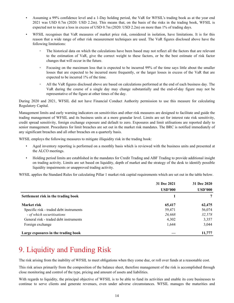- <span id="page-13-0"></span> • Assuming a 99% confidence level and a 1-Day holding period, the VaR for WFSIL's trading book as at the year end 2021 was USD 0.7m (2020: USD 2.2m). This means that, on the basis of the risks in the trading book, WFSIL is expected not to incur a loss in excess of USD 0.7m (2020: USD 2.2m) on more than 1% of trading days.
- • WFSIL recognises that VaR measures of market price risk, considered in isolation, have limitations. It is for this reason that a wide range of other risk measurement techniques are used. The VaR figures disclosed above have the following limitations:
	- ◦ The historical data on which the calculations have been based may not reflect all the factors that are relevant to the estimation of VaR, give the correct weight to these factors, or be the best estimate of risk factor changes that will occur in the future.
	- ◦ Focusing on the maximum loss that is expected to be incurred 99% of the time says little about the smaller losses that are expected to be incurred more frequently, or the larger losses in excess of the VaR that are expected to be incurred 1% of the time.
	- ◦ All the VaR figures disclosed above are based on calculations performed at the end of each business day. The VaR during the course of a single day may change substantially and the end-of-day figure may not be representative of the figure at other times of the day.

 During 2020 and 2021, WFSIL did not have Financial Conduct Authority permission to use this measure for calculating Regulatory Capital.

 Management limits and early warning indicators on sensitivities and other risk measures are designed to facilitate and guide the trading management of WFSIL and its business units at a more granular level. Limits are set for interest rate risk sensitivity, credit spread sensitivity, foreign exchange exposure and default to zero. Exposures and limit utilisations are reported daily to senior management. Procedures for limit breaches are set out in the market risk mandates. The BRC is notified immediately of any significant breaches and all other breaches on a quarterly basis.

WFSIL employs the following measures to mitigate illiquidity risk in the trading book:

- • Aged inventory reporting is performed on a monthly basis which is reviewed with the business units and presented at the ALCO meetings.
- • Holding period limits are established in the mandates for Credit Trading and ABF Trading to provide additional insight on trading activity. Limits are set based on liquidity, depth of market and the strategy of the desk to identify possible liquidity impairments or unapproved trading activity.

WFSIL applies the Standard Rules for calculating Pillar 1 market risk capital requirements which are set out in the table below.

|                                         | 31 Dec 2021    | 31 Dec 2020    |  |
|-----------------------------------------|----------------|----------------|--|
|                                         | <b>USD'000</b> | <b>USD'000</b> |  |
| Settlement risk in the trading book     |                |                |  |
| <b>Market risk</b>                      | 65,417         | 62,475         |  |
| Specific risk - traded debt instruments | 59,471         | 56,074         |  |
| - of which securitisations              | 26,668         | 32,578         |  |
| General risk - traded debt instruments  | 4,302          | 3,357          |  |
| Foreign exchange                        | 1,644          | 3,044          |  |
| Large exposures in the trading book     |                | 11,777         |  |

# 9. Liquidity and Funding Risk

The risk arising from the inability of WFSIL to meet obligations when they come due, or roll over funds at a reasonable cost.

 This risk arises primarily from the composition of the balance sheet, therefore management of the risk is accomplished through close monitoring and control of the type, pricing and amount of assets and liabilities.

 With regards to liquidity, the principal objective of WFSIL is to be able to fund its activities and enable its core businesses to continue to serve clients and generate revenues, even under adverse circumstances. WFSIL manages the maturities and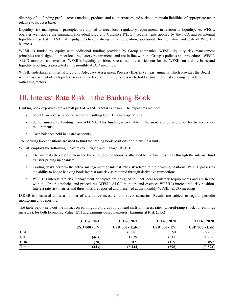<span id="page-14-0"></span> diversity of its funding profile across markets, products and counterparties and seeks to maintain liabilities of appropriate tenor relative to its asset base.

 Liquidity risk management principles are applied to meet local regulatory requirements in relation to liquidity. As WFSIL operates well above the minimum Individual Liquidity Guidance ("ILG") requirements applied by the FCA and its internal liquidity stress test ("ILST") it is judged to have a strong liquidity position, appropriate for the nature and scale of WFSIL's business.

 WFSIL is funded by equity with additional funding provided by Group companies. WFSIL liquidity risk management principles are designed to meet local regulatory requirements and are in line with the Group's policies and procedures. WFSIL ALCO monitors and oversees WFSIL's liquidity position. Stress tests are carried out for the WFSIL on a daily basis and liquidity reporting is presented at the monthly ALCO meetings.

 WFSIL undertakes an Internal Liquidity Adequacy Assessment Process (**ILAAP**) at least annually which provides the Board with an assessment of its liquidity risks and the level of liquidity necessary to hold against these risks having considered mitigating factors.

### 10. Interest Rate Risk in the Banking Book

Banking book exposures are a small part of WFSIL's total exposure. The exposures include:

- Short term reverse repo transactions resulting from Treasury operations
- • Senior unsecured funding from WFBNA. This funding is available in the most appropriate tenor for balance sheet requirements
- Cash balances held in nostro accounts

The banking book positions are used to fund the trading book positions of the business units.

WFSIL employs the following measures to mitigate and manage IRRBB:

- • The interest rate expense from the banking book positions is allocated to the business units through the internal fund transfer pricing mechanism.
- • Trading desks perform the active management of interest rate risk related to their trading positions. WFSIL possesses the ability to hedge banking book interest rate risk as required through derivative transactions.
- • WFSIL's interest rate risk management principles are designed to meet local regulatory requirements and are in line with the Group's policies and procedures. WFSIL ALCO monitors and oversees WFSIL's interest rate risk position. Interest rate risk metrics and thresholds are reported and presented at the monthly WFSIL ALCO meetings.

 IRRBB is measured under a number of alternative measures and stress scenarios. Results are subject to regular periodic monitoring and reporting.

 The table below sets out the impact on earnings from a 200bp upward shift in interest rates (tapered/ramp shock for earnings measure), for both Economic Value (EV) and earnings-based measures (Earnings at Risk (EaR)).

|              | 31 Dec 2021         | 31 Dec 2021          | 31 Dec 2020         | 31 Dec 2020     |
|--------------|---------------------|----------------------|---------------------|-----------------|
|              | <b>USD'000 - EV</b> | <b>USD'000 - EaR</b> | <b>USD'000 - EV</b> | $USD'000 - EaR$ |
| <b>USD</b>   | 98                  | (8, 881)             | 50                  | (6,238)         |
| <b>GBP</b>   | (463)               | 1,639                | (517)               | 1,792           |
| <b>EUR</b>   | (78)                | 1097                 | (129)               | 852             |
| <b>Total</b> | (443)               | (6, 144)             | (596)               | (3,594)         |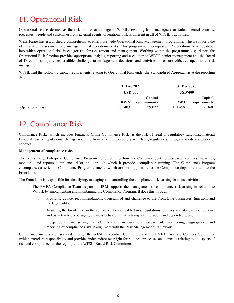# <span id="page-15-0"></span>11. Operational Risk

 Operational risk is defined as the risk of loss or damage to WFSIL, resulting from inadequate or failed internal controls, processes, people and systems or from external events. Operational risk is inherent in all of WFSIL's activities.

 Wells Fargo has established a comprehensive, enterprise-wide Operational Risk Management programme, which supports the identification, assessment and management of operational risks. This programme encompasses 12 operational risk sub-types into which operational risk is categorised for assessment and management. Working within the programme's guidance, the Operational Risk function provides appropriate analysis, reporting and escalation to WFSIL senior management and the Board of Directors and provides credible challenge to management decisions and activities to ensure effective operational risk management.

 WFSIL had the following capital requirements relating to Operational Risk under the Standardised Approach as at the reporting date:

|                         | 31 Dec 2021 |              | 31 Dec 2020    |              |
|-------------------------|-------------|--------------|----------------|--------------|
|                         | USD'000     |              | <b>USD'000</b> |              |
|                         |             | Capital      |                | Capital      |
|                         | <b>RWA</b>  | requirements | <b>RWA</b>     | requirements |
| <b>Operational Risk</b> | 363,403     | 29,072       | 454.498        | 36,360       |

# 12. Compliance Risk

 Compliance Risk, (which includes Financial Crime Compliance Risk) is the risk of legal or regulatory sanctions, material financial loss or reputational damage resulting from a failure to comply with laws, regulations, rules, standards and codes of conduct.

#### **Management of compliance risks**

 The Wells Fargo Enterprise Compliance Program Policy outlines how the Company identifies, assesses, controls, measures, monitors, and reports compliance risks, and through which it provides compliance training. The Compliance Program encompasses a series of Compliance Program elements which are both applicable to the Compliance department and to the Front Line.

The Front Line is responsible for identifying, managing and controlling the compliance risks arising from its activities

- a. The EMEA Compliance Team as part of IRM supports the management of compliance risk arising in relation to WFSIL by implementing and maintaining the Compliance Program. It does this through:
	- i. Providing advice, recommendations, oversight of and challenge to the Front Line businesses, functions and the legal entity.
	- ii. Assisting the Front Line in the adherence to applicable laws, regulations, policies and standards of conduct and by actively encouraging business behaviour that is transparent, prudent and dependable; and
	- iii. Independently overseeing the identification, measurement, assessment, monitoring, aggregation, and reporting of compliance risks in alignment with the Risk Management Framework.

 Compliance matters are escalated through the WFSIL Executive Committee and the EMEA Risk and Controls Committee (which exercises responsibility and provides independent oversight for policies, processes and controls relating to all aspects of risk and compliance for the region) to the WFSIL Board Risk Committee.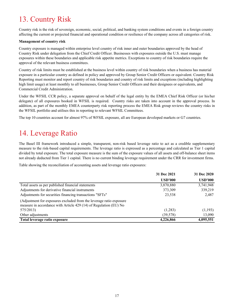# <span id="page-16-0"></span>13. Country Risk

 Country risk is the risk of sovereign, economic, social, political, and banking system conditions and events in a foreign country affecting the current or projected financial and operational condition or resilience of the company across all categories of risk.

#### **Management of country risk**

 Country exposure is managed within enterprise level country of risk inner and outer boundaries approved by the head of Country Risk under delegation from the Chief Credit Officer. Businesses with exposures outside the U.S. must manage exposures within these boundaries and applicable risk appetite metrics. Exceptions to country of risk boundaries require the approval of the relevant business committees.

 Country of risk limits must be established at the business level within country of risk boundaries when a business has material exposure in a particular country as defined in policy and approved by Group Senior Credit Officers or equivalent. Country Risk Reporting must monitor and report country of risk boundaries and country of risk limits and exceptions (including highlighting high limit usage) at least monthly to all businesses, Group Senior Credit Officers and their designees or equivalents, and Commercial Credit Administration.

 Under the WFSIL CCR policy, a separate approval on behalf of the legal entity by the EMEA Chief Risk Officer (or his/her delegate) of all exposures booked in WFSIL is required. Country risks are taken into account in the approval process. In addition, as part of the monthly EMEA counterparty risk reporting process the EMEA Risk group reviews the country risks in the WFSIL portfolio and utilises this in reporting to relevant WFSIL Committees.

The top 10 countries account for almost 97% of WFSIL exposure, all are European developed markets or G7 countries.

### 14. Leverage Ratio

 The Basel III framework introduced a simple, transparent, non-risk based leverage ratio to act as a credible supplementary measure to the risk-based capital requirements. The leverage ratio is expressed as a percentage and calculated as Tier 1 capital divided by total exposure. The total exposure measure is the sum of the exposure values of all assets and off-balance sheet items not already deducted from Tier 1 capital. There is no current binding leverage requirement under the CRR for investment firms.

Table showing the reconciliation of accounting assets and leverage ratio exposures:

|                                                                                                                                          | 31 Dec 2021    | 31 Dec 2020    |
|------------------------------------------------------------------------------------------------------------------------------------------|----------------|----------------|
|                                                                                                                                          | <b>USD'000</b> | <b>USD'000</b> |
| Total assets as per published financial statements                                                                                       | 3,870,880      | 3,741,948      |
| Adjustments for derivative financial instruments                                                                                         | 373,309        | 339,219        |
| Adjustments for securities financing transactions "SFTs"                                                                                 | 23,538         | 2,487          |
| (Adjustment for exposures excluded from the leverage ratio exposure<br>measure in accordance with Article 429 (14) of Regulation (EU) No |                |                |
| 575/2013)                                                                                                                                | (1,283)        | (1,193)        |
| Other adjustments                                                                                                                        | (39, 578)      | 13,090         |
| Total leverage ratio exposure                                                                                                            | 4,226,866      | 4,095,551      |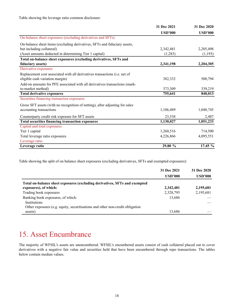<span id="page-17-0"></span>Table showing the leverage ratio common disclosure:

|                                                                              | 31 Dec 2021    | 31 Dec 2020    |
|------------------------------------------------------------------------------|----------------|----------------|
|                                                                              | <b>USD'000</b> | <b>USD'000</b> |
| On-balance sheet exposures (excluding derivatives and SFTs)                  |                |                |
| On-balance sheet items (excluding derivatives, SFTs and fiduciary assets,    |                |                |
| but including collateral)                                                    | 2,342,481      | 2,205,498      |
| (Asset amounts deducted in determining Tier 1 capital)                       | (1,283)        | (1,193)        |
| Total on-balance sheet exposures (excluding derivatives, SFTs and            |                |                |
| fiduciary assets)                                                            | 2,341,198      | 2,204,305      |
| Derivative exposures                                                         |                |                |
| Replacement cost associated with all derivatives transactions (i.e. net of   |                |                |
| eligible cash variation margin)                                              | 382,332        | 500,794        |
| Add-on amounts for PFE associated with all derivatives transactions (mark-   |                |                |
| to-market method)                                                            | 373,309        | 339,219        |
| <b>Total derivative exposures</b>                                            | 755,641        | 840,013        |
| Securities financing transaction exposures                                   |                |                |
| Gross SFT assets (with no recognition of netting), after adjusting for sales |                |                |
| accounting transactions                                                      | 1,106,489      | 1,048,745      |
| Counterparty credit risk exposure for SFT assets                             | 23,538         | 2,487          |
| Total securities financing transaction exposures                             | 1,130,027      | 1,051,233      |
| Capital and total exposures                                                  |                |                |
| Tier 1 capital                                                               | 1,260,516      | 714,500        |
| Total leverage ratio exposures                                               | 4,226,866      | 4,095,551      |
| Leverage ratio                                                               |                |                |
| Leverage ratio                                                               | 29.80 %        | $17.45\%$      |

Table showing the split of on balance sheet exposures (excluding derivatives, SFTs and exempted exposures):

|                                                                               | 31 Dec 2021    | 31 Dec 2020    |
|-------------------------------------------------------------------------------|----------------|----------------|
|                                                                               | <b>USD'000</b> | <b>USD'000</b> |
| Total on-balance sheet exposures (excluding derivatives, SFTs and exempted    |                |                |
| exposures), of which:                                                         | 2,342,481      | 2,195,681      |
| Trading book exposures                                                        | 2,328,795      | 2,195,681      |
| Banking book exposures, of which:                                             | 13,686         |                |
| Institutions                                                                  |                |                |
| Other exposures (e.g. equity, securitisations and other non-credit obligation |                |                |
| assets)                                                                       | 13,686         |                |

### 15. Asset Encumbrance

 The majority of WFSIL's assets are unencumbered. WFSIL's encumbered assets consist of cash collateral placed out to cover derivatives with a negative fair value and securities held that have been encumbered through repo transactions. The tables below contain median values.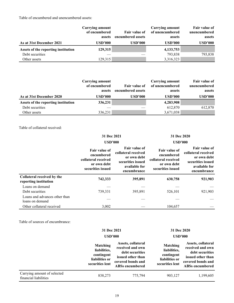Table of encumbered and unencumbered assets:

| As at 31st December 2021            | Carrying amount<br>of encumbered<br>assets<br><b>USD'000</b> | Fair value of<br>encumbered assets<br><b>USD'000</b> | Carrying amount<br>of unencumbered<br>assets<br><b>USD'000</b> | <b>Fair value of</b><br>unencumbered<br>assets<br><b>USD'000</b> |
|-------------------------------------|--------------------------------------------------------------|------------------------------------------------------|----------------------------------------------------------------|------------------------------------------------------------------|
| Assets of the reporting institution | 129,315                                                      |                                                      | 4, 133, 753                                                    |                                                                  |
| Debt securities                     |                                                              |                                                      | 793,838                                                        | 793,838                                                          |
| Other assets                        | 129,315                                                      |                                                      | 3,316,323                                                      |                                                                  |

|                                     | <b>Carrying amount</b><br>of encumbered<br>assets | <b>Fair value of</b><br>encumbered assets | Carrying amount<br>of unencumbered<br>assets | Fair value of<br>unencumbered<br>assets |
|-------------------------------------|---------------------------------------------------|-------------------------------------------|----------------------------------------------|-----------------------------------------|
| As at 31st December 2020            | <b>USD'000</b>                                    | <b>USD'000</b>                            | <b>USD'000</b>                               | <b>USD'000</b>                          |
| Assets of the reporting institution | 336,231                                           |                                           | 4,283,908                                    |                                         |
| Debt securities                     |                                                   |                                           | 612,870                                      | 612,870                                 |
| Other assets                        | 336,231                                           |                                           | 3,671,038                                    |                                         |

Table of collateral received:

|                                                     | 31 Dec 2021                                                                                   |                                                                                                          | 31 Dec 2020                                                                            |                                                                                                                 |  |
|-----------------------------------------------------|-----------------------------------------------------------------------------------------------|----------------------------------------------------------------------------------------------------------|----------------------------------------------------------------------------------------|-----------------------------------------------------------------------------------------------------------------|--|
|                                                     | <b>USD'000</b>                                                                                |                                                                                                          | <b>USD'000</b>                                                                         |                                                                                                                 |  |
|                                                     | <b>Fair value of</b><br>encumbered<br>collateral received<br>or own debt<br>securities issued | Fair value of<br>collateral received<br>or own debt<br>securities issued<br>available for<br>encumbrance | Fair value of<br>encumbered<br>collateral received<br>or own debt<br>securities issued | <b>Fair value of</b><br>collateral received<br>or own debt<br>securities issued<br>available for<br>encumbrance |  |
| Collateral received by the<br>reporting institution | 742,333                                                                                       | 395,891                                                                                                  | 630,758                                                                                | 921,903                                                                                                         |  |
| Loans on demand                                     |                                                                                               |                                                                                                          |                                                                                        |                                                                                                                 |  |
| Debt securities                                     | 739,331                                                                                       | 395,891                                                                                                  | 526,101                                                                                | 921,903                                                                                                         |  |
| Loans and advances other than<br>loans on demand    |                                                                                               |                                                                                                          |                                                                                        |                                                                                                                 |  |
| Other collateral received                           | 3,002                                                                                         |                                                                                                          | 104,657                                                                                |                                                                                                                 |  |

Table of sources of encumbrance:

|                                                      | 31 Dec 2021<br>$\bf \overline{USD}$ 000                                            |                                                                                                                               | 31 Dec 2020<br>$\bf \overline{USD}$ 000                                            |                                                                                                                               |
|------------------------------------------------------|------------------------------------------------------------------------------------|-------------------------------------------------------------------------------------------------------------------------------|------------------------------------------------------------------------------------|-------------------------------------------------------------------------------------------------------------------------------|
|                                                      | <b>Matching</b><br>liabilities,<br>contingent<br>liabilities or<br>securities lent | Assets, collateral<br>received and own<br>debt securities<br>issued other than<br>covered bonds and<br><b>ABSs encumbered</b> | <b>Matching</b><br>liabilities,<br>contingent<br>liabilities or<br>securities lent | Assets, collateral<br>received and own<br>debt securities<br>issued other than<br>covered bonds and<br><b>ABSs encumbered</b> |
| Carrying amount of selected<br>financial liabilities | 838,273                                                                            | 775,794                                                                                                                       | 903,127                                                                            | 1,199,605                                                                                                                     |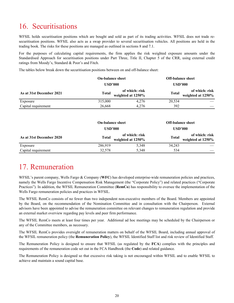# <span id="page-19-0"></span>16. Securitisations

 WFSIL holds securitisation positions which are bought and sold as part of its trading activities. WFSIL does not trade re- securitisation positions. WFSIL also acts as a swap provider to several securitisation vehicles. All positions are held in the trading book. The risks for these positions are managed as outlined in sections 8 and 7.1.

 For the purposes of calculating capital requirements, the firm applies the risk weighted exposure amounts under the Standardised Approach for securitisation positions under Part Three, Title II, Chapter 5 of the CRR, using external credit ratings from Moody's, Standard & Poor's and Fitch.

The tables below break down the securitisation positions between on and off-balance sheet:

|                          | <b>On-balance sheet</b> |                                     | <b>Off-balance sheet</b> |                                     |
|--------------------------|-------------------------|-------------------------------------|--------------------------|-------------------------------------|
|                          | <b>USD'000</b>          |                                     | <b>USD'000</b>           |                                     |
| As at 31st December 2021 | <b>Total</b>            | of which: risk<br>weighted at 1250% | <b>Total</b>             | of which: risk<br>weighted at 1250% |
| Exposure                 | 315,000                 | 4,276                               | 20,534                   |                                     |
| Capital requirement      | 26.668                  | 4.276                               | 392                      |                                     |

|                          | <b>On-balance sheet</b> |                                     |                | <b>Off-balance sheet</b>            |  |  |
|--------------------------|-------------------------|-------------------------------------|----------------|-------------------------------------|--|--|
|                          | <b>USD'000</b>          |                                     | <b>USD'000</b> |                                     |  |  |
| As at 31st December 2020 | <b>Total</b>            | of which: risk<br>weighted at 1250% | <b>Total</b>   | of which: risk<br>weighted at 1250% |  |  |
| Exposure                 | 286,919                 | 5,348                               | 34,243         |                                     |  |  |
| Capital requirement      | 32,578                  | 5,348                               | 534            |                                     |  |  |

### 17. Remuneration

 WFSIL's parent company, Wells Fargo & Company (**WFC**) has developed enterprise-wide remuneration policies and practices, namely the Wells Fargo Incentive Compensation Risk Management (the "Corporate Policy") and related practices ("Corporate Practices"). In addition, the WFSIL Remuneration Committee (**RemCo**) has responsibility to oversee the implementation of the Wells Fargo remuneration policies and practices in WFSIL.

 The WFSIL RemCo consists of no fewer than two independent non-executive members of the Board. Members are appointed by the Board, on the recommendation of the Nomination Committee and in consultation with the Chairperson. External advisors have been appointed to advise the remuneration committee on relevant changes to remuneration regulation and provide an external market overview regarding pay levels and peer firm performance.

 The WFSIL RemCo meets at least four times per year. Additional ad hoc meetings may be scheduled by the Chairperson or any of the Committee members, as necessary.

 The WFSIL RemCo provides oversight of remuneration matters on behalf of the WFSIL Board, including annual approval of the WFSIL remuneration policy (the **Remuneration Policy**), the WFSIL Identified Staff list and risk review of Identified Staff.

 The Remuneration Policy is designed to ensure that WFSIL (as regulated by the **FCA**) complies with the principles and requirements of the remuneration code set out in the FCA Handbook (the **Code**) and related guidance.

 The Remuneration Policy is designed so that excessive risk taking is not encouraged within WFSIL and to enable WFSIL to achieve and maintain a sound capital base.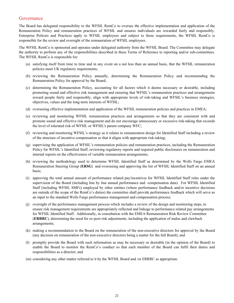#### Governance

 The Board has delegated responsibility to the WFSIL RemCo to oversee the effective implementation and application of the Remuneration Policy and remuneration practices of WFSIL and ensures individuals are rewarded fairly and responsibly. Enterprise Policies and Practices apply to WFSIL employees and subject to those requirements, the WFSIL RemCo is responsible for the review and oversight of the remuneration of WFSIL employees.

 The WFSIL RemCo is sponsored and operates under delegated authority from the WFSIL Board. The Committee may delegate the authority to perform any of the responsibilities described in these Terms of Reference to reporting and/or sub-committees. The WFSIL RemCo is responsible for:

- (a) satisfying itself from time to time and in any event on a not less than an annual basis, that the WFSIL remuneration policies meet UK regulatory requirements;
- (b) reviewing the Remuneration Policy annually, determining the Remuneration Policy and recommending the Remuneration Policy for approval by the Board;
- (c) determining the Remuneration Policy, accounting for all factors which it deems necessary or desirable, including promoting sound and effective risk management and ensuring that WFSIL's remuneration practices and arrangements reward people fairly and responsibly, align with appropriate levels of risk-taking and WFSIL's business strategies, objectives, values and the long-term interests of WFSIL;
- (d) overseeing effective implementation and application of the WFSIL remuneration policies and practices in EMEA;
- (e) reviewing and monitoring WFSIL remuneration practices and arrangements so that they are consistent with and promote sound and effective risk management and do not encourage unnecessary or excessive risk-taking that exceeds the level of tolerated risk of WFSIL or WFSIL's parent company WFC;
- (f) reviewing and monitoring WFSIL's strategy as it relates to remuneration design for Identified Staff including a review of the structure of incentive compensation so that it aligns with appropriate risk-taking;
- (g) supervising the application of WFSIL's remuneration policies and remuneration practices, including the Remuneration Policy for WFSIL's Identified Staff, reviewing regulatory reports and required public disclosures on remuneration and internal reports on the effectiveness of variable remuneration arrangements;
- (h) reviewing the methodology used to determine WFSIL Identified Staff as determined by the Wells Fargo EMEA Remuneration Steering Group (**ERSG**) and overseeing and approving the list of WFSIL Identified Staff on an annual basis;
- (i) approving the total annual amount of performance related pay/incentives for WFSIL Identified Staff roles under the supervision of the Board (including line by line annual performance and compensation data). For WFSIL Identified Staff (including WFSIL SMFs) employed by other entities (where performance feedback and/or incentive decisions are outside of the scope of the RemCo's duties) the committee shall provide performance feedback which will serve as an input to the standard Wells Fargo performance management and compensation process;
- (j) oversight of the performance management process which includes a review of the design and monitoring steps, to ensure risk management requirements are appropriately reflected and linkage to performance related pay arrangements for WFSIL Identified Staff. Additionally, in consultation with the EMEA Remuneration Risk Review Committee (**ERRRC**), determining the need for ex-post risk adjustments, including the application of malus and clawback arrangements;
- (k) making a recommendation to the Board on the remuneration of the non-executive directors for approval by the Board (any decision on remuneration of the non-executive directors being a matter for the full Board); and
- (l) promptly provide the Board with such information as may be necessary or desirable (in the opinion of the Board) to enable the Board to monitor the RemCo's conduct so that each member of the Board can fulfil their duties and responsibilities as a director; and
- (m) considering any other matter referred to it by the WFSIL Board and /or ERRRC as appropriate.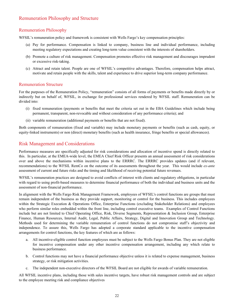#### Remuneration Philosophy and Structure

#### Remuneration Philosophy

WFSIL's remuneration policy and framework is consistent with Wells Fargo's key compensation principles:

- (a) Pay for performance. Compensation is linked to company, business line and individual performance, including meeting regulatory expectations and creating long-term value consistent with the interests of shareholders.
- (b) Promote a culture of risk management. Compensation promotes effective risk management and discourages imprudent or excessive risk-taking.
- (c) Attract and retain talent. People are one of WFSIL's competitive advantages. Therefore, compensation helps attract, motivate and retain people with the skills, talent and experience to drive superior long-term company performance.

#### Remuneration Structure

 For the purposes of the Remuneration Policy, "remuneration" consists of all forms of payments or benefits made directly by or indirectly but on behalf of, WFSIL, in exchange for professional services rendered by WFSIL staff. Remuneration can be divided into:

- (i) fixed remuneration (payments or benefits that meet the criteria set out in the EBA Guidelines which include being permanent, transparent, non-revocable and without consideration of any performance criteria); and
- (ii) variable remuneration (additional payments or benefits that are not fixed).

 Both components of remuneration (fixed and variable) may include monetary payments or benefits (such as cash, equity, or equity-linked instruments) or non (direct) monetary benefits (such as health insurance, fringe benefits or special allowances).

#### Risk Management and Considerations

 Performance measures are specifically adjusted for risk considerations and allocation of incentive spend is directly related to this. In particular, at the EMEA-wide level, the EMEA Chief Risk Officer presents an annual assessment of risk considerations over and above the mechanisms within incentive plans to the ERRRC. The ERRRC provides updates (and if relevant, recommendations) to the WFSIL RemCo on the outcome of its assessments throughout the year. This would include *ex-ante* assessment of current and future risks and the timing and likelihood of receiving potential future revenues.

 WFSIL's remuneration practices are designed to avoid conflicts of interest with clients and regulatory obligations, in particular with regard to using profit-based measures to determine financial performance of both the individual and business units and the assessment of non-financial performance.

 In alignment with the Wells Fargo Risk Management Framework, employees of WFSIL's control functions are groups that must remain independent of the business as they provide support, monitoring or control for the business. This includes employees within the Strategic Execution & Operations Office, Enterprise Functions (excluding Stakeholder Relations) and employees who perform similar roles embedded within the front line, including control executive teams. Examples of Control Functions include but are not limited to Chief Operating Office, Risk, Diverse Segments, Representation & Inclusion Group, Enterprise Finance, Human Resources, Internal Audit, Legal, Public Affairs, Strategy, Digital and Innovation Group and Technology. Methods used for determining the variable remuneration of control functions do not compromise staff's objectivity and independence. To assure this, Wells Fargo has adopted a corporate standard applicable to the incentive compensation arrangements for control functions, the key features of which are as follows:

- a. All incentive-eligible control function employees must be subject to the Wells Fargo Bonus Plan. They are not eligible for incentive compensation under any other incentive compensation arrangement, including any which relate to business performance.
- b. Control functions may not have a financial performance objective unless it is related to expense management, business strategy, or risk mitigation activities.
- c. The independent non-executive directors of the WFSIL Board are not eligible for awards of variable remuneration.

 All WFSIL incentive plans, including those with sales incentive targets, have robust risk management controls and are subject to the employee meeting risk and compliance objectives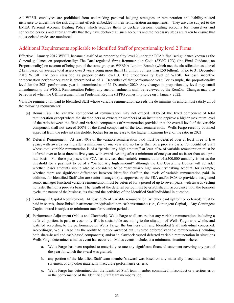All WFSIL employees are prohibited from undertaking personal hedging strategies or remuneration and liability-related insurance to undermine the risk alignment effects embedded in their remuneration arrangements. They are also subject to the EMEA Personal Account Dealing Policy which requires them to declare personal dealing accounts for themselves and connected persons and attest annually that they have declared all such accounts and the necessary steps are taken to ensure that all associated trades are monitored.

#### Additional Requirements applicable to Identified Staff of proportionality level 2 Firms

 Effective 1 January 2017 WFSIL became classified as proportionality level 2 under the FCA's finalised guidance known as the General guidance on proportionality: The Dual-regulated firms Remuneration Code (SYSC 19D) (the Final Guidance on Proportionality) on account of being part of the same group as WFBNA London Branch (which met the classification as a level 2 firm based on average total assets over 3 years being more than £15 billion but less than £50 billion). Prior to 31 December 2016 WFSIL had been classified as proportionality level 3. The proportionality level of WFSIL for each incentive compensation performance year is determined as of 31 December of that performance year. For example, the proportionality level for the 2021 performance year is determined as of 31 December 2020. Any changes in proportionality level may entail amendments to the WFSIL Remuneration Policy, any such amendments shall be reviewed by the RemCo. Changes may also be required when the UK Investment Firm Prudential Regime (IFPR) comes into force on 1 January 2022.

 Variable remuneration paid to Identified Staff whose variable remuneration exceeds the de minimis threshold must satisfy all of the following requirements:

- (a) Bonus Cap. The variable component of remuneration may not exceed 100% of the fixed component of total remuneration except where the shareholders or owners or members of an institution approve a higher maximum level of the ratio between the fixed and variable components of remuneration provided that the overall level of the variable component shall not exceed 200% of the fixed component of the total remuneration. Wells Fargo recently obtained approval from the relevant shareholder bodies for an increase to the higher maximum level of the ratio in 2021.
- (b) Deferral Requirement. At least 40% of the variable remuneration paid must be deferred over at least three to five years, with awards vesting after a minimum of one year and no faster than on a pro-rata basis. For Identified Staff whose total variable remuneration is of a "particularly high amount," at least 60% of variable remuneration must be deferred over at least three to five years, with awards vesting after a minimum of one year and no faster than on a pro- rata basis. For these purposes, the FCA has advised that variable remuneration of £500,000 annually is set as the threshold for a payment to be of a "particularly high amount" although the UK Governing Bodies will consider whether lesser amounts should also be considered to be "particularly high amounts" taking account, for example, whether there are significant differences between Identified Staff in the levels of variable remuneration paid. In addition, for Identified Staff who are senior managers (i.e. approved by the PRA and/or FCA to provide a designated senior manager function) variable remuneration must be deferred for a period of up to seven years, with awards vesting no faster than on a pro-rata basis. The length of the deferral period must be established in accordance with the business cycle, the nature of the business, its risk and the activities of the Identified Staff individual in question.
- (c) Contingent Capital Requirement. At least 50% of variable remuneration (whether paid upfront or deferred) must be paid in shares, share-linked instruments or equivalent non-cash instruments (i.e., Contingent Capital). Any Contingent Capital award is subject to minimum transfer retention periods.
- (d) Performance Adjustment (Malus and Clawback). Wells Fargo shall ensure that any variable remuneration, including a deferred portion, is paid or vests only if it is sustainable according to the situation of Wells Fargo as a whole, and justified according to the performance of Wells Fargo, the business unit and Identified Staff individual concerned. Accordingly, Wells Fargo has the ability to reduce awarded but unvested deferred variable remuneration (including both share-based and cash-based components) and/or to clawback vested deferred variable remuneration in situations Wells Fargo determines a malus event has occurred. Malus events include, at a minimum, situations where:
	- a. Wells Fargo has been required to materially restate any significant financial statement covering any part of the year for which the award was granted;
	- b. any portion of the Identified Staff team member's award was based on any materially inaccurate financial statement or any other materially inaccurate performance criteria;
	- c. Wells Fargo has determined that the Identified Staff team member committed misconduct or a serious error in the performance of the Identified Staff team member's job;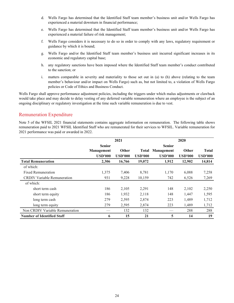- d. Wells Fargo has determined that the Identified Staff team member's business unit and/or Wells Fargo has experienced a material downturn in financial performance;
- experienced a material failure of risk management; e. Wells Fargo has determined that the Identified Staff team member's business unit and/or Wells Fargo has
- f. Wells Fargo considers it is necessary to do so in order to comply with any laws, regulatory requirement or guidance by which it is bound;
- g. Wells Fargo and/or the Identified Staff team member's business unit incurred significant increases in its economic and regulatory capital base;
- h. any regulatory sanctions have been imposed where the Identified Staff team member's conduct contributed to the sanction; or
- i. matters comparable in severity and materiality to those set out in (a) to (h) above (relating to the team member's behaviour and/or impact on Wells Fargo) such as, but not limited to, a violation of Wells Fargo policies or Code of Ethics and Business Conduct.

 Wells Fargo shall approve performance adjustment policies, including the triggers under which malus adjustments or clawback would take place and may decide to delay vesting of any deferred variable remuneration where an employee is the subject of an ongoing disciplinary or regulatory investigation at the time such variable remuneration is due to vest.

#### Remuneration Expenditure

 Note 5 of the WFSIL 2021 financial statements contains aggregate information on remuneration. The following table shows remuneration paid to 2021 WFSIL Identified Staff who are remunerated for their services to WFSIL. Variable remuneration for 2021 performance was paid or awarded in 2022.

|                                    | 2021              |                |                | 2020           |                |                |  |
|------------------------------------|-------------------|----------------|----------------|----------------|----------------|----------------|--|
|                                    | <b>Senior</b>     |                |                | <b>Senior</b>  |                |                |  |
|                                    | <b>Management</b> | <b>Other</b>   | Total          | Management     | <b>Other</b>   | <b>Total</b>   |  |
|                                    | <b>USD'000</b>    | <b>USD'000</b> | <b>USD'000</b> | <b>USD'000</b> | <b>USD'000</b> | <b>USD'000</b> |  |
| <b>Total Remuneration</b>          | 2,306             | 16,766         | 19,072         | 1,912          | 12,902         | 14,814         |  |
| of which:                          |                   |                |                |                |                |                |  |
| <b>Fixed Remuneration</b>          | 1,375             | 7,406          | 8,781          | 1,170          | 6,088          | 7,258          |  |
| <b>CRDIV Variable Remuneration</b> | 931               | 9,228          | 10,159         | 742            | 6,526          | 7,269          |  |
| of which:                          |                   |                |                |                |                |                |  |
| short term cash                    | 186               | 2,105          | 2,291          | 148            | 2,102          | 2,250          |  |
| short term equity                  | 186               | 1,932          | 2,118          | 148            | 1,447          | 1,595          |  |
| long term cash                     | 279               | 2,595          | 2,874          | 223            | 1,489          | 1,712          |  |
| long term equity                   | 279               | 2,595          | 2,874          | 223            | 1,489          | 1,712          |  |
| Non CRDIV Variable Remuneration    |                   | 132            | 132            |                | 288            | 288            |  |
| <b>Number of Identified Staff</b>  | 6                 | 15             | 21             | 5              | 14             | 19             |  |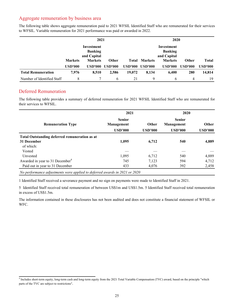#### Aggregate remuneration by business area

|                            | 2021                                        |                |                |                | 2020                                        |                |                |                |
|----------------------------|---------------------------------------------|----------------|----------------|----------------|---------------------------------------------|----------------|----------------|----------------|
|                            | Investment<br><b>Banking</b><br>and Capital |                |                |                | Investment<br><b>Banking</b><br>and Capital |                |                |                |
|                            | <b>Markets</b>                              | <b>Markets</b> | <b>Other</b>   | Total          | <b>Markets</b>                              | <b>Markets</b> | <b>Other</b>   | <b>Total</b>   |
|                            | <b>USD'000</b>                              | <b>USD'000</b> | <b>USD'000</b> | <b>USD'000</b> | USD'000                                     | <b>USD'000</b> | <b>USD'000</b> | <b>USD'000</b> |
| <b>Total Remuneration</b>  | 7,976                                       | 8,510          | 2,586          | 19,072         | 8,134                                       | 6,400          | 280            | 14,814         |
| Number of Identified Staff | 8                                           |                | 6              | 21             | 9                                           | 6              | 4              | 19             |

 The following table shows aggregate remuneration paid to 2021 WFSIL Identified Staff who are remunerated for their services to WFSIL. Variable remuneration for 2021 performance was paid or awarded in 2022.

#### Deferred Remuneration

The following table provides a summary of deferred remuneration for 2021 WFSIL Identified Staff who are remunerated for their services to WFSIL.

|                                                      | 2021                                                                     |       | 2020                                          |                         |  |
|------------------------------------------------------|--------------------------------------------------------------------------|-------|-----------------------------------------------|-------------------------|--|
| <b>Remuneration Type</b>                             | <b>Senior</b><br>Other<br>Management<br><b>USD'000</b><br><b>USD'000</b> |       | <b>Senior</b><br>Management<br><b>USD'000</b> | Other<br><b>USD'000</b> |  |
| <b>Total Outstanding deferred remuneration as at</b> |                                                                          |       |                                               |                         |  |
| 31 December                                          | 1,095                                                                    | 6,712 | 540                                           | 4,889                   |  |
| of which:                                            |                                                                          |       |                                               |                         |  |
| Vested                                               |                                                                          |       |                                               |                         |  |
| Unvested                                             | 1,095                                                                    | 6,712 | 540                                           | 4,889                   |  |
| Awarded in year to 31 December <sup>4</sup>          | 745                                                                      | 7,123 | 594                                           | 4,712                   |  |
| Paid out in year to 31 December                      | 433                                                                      | 4,076 | 392                                           | 2,458                   |  |

 *No performance adjustments were applied to deferred awards in 2021 or 2020*

1 Identified Staff received a severance payment and no sign on payments were made to Identified Staff in 2021.

 5 Identified Staff received total remuneration of between US\$1m and US\$1.5m. 5 Identified Staff received total remuneration in excess of US\$1.5m.

 The information contained in these disclosures has not been audited and does not constitute a financial statement of WFSIL or WFC.

<sup>&</sup>lt;sup>4</sup> Includes short-term equity, long-term cash and long-term equity from the 2021 Total Variable Compensation (TVC) award, based on the principle "which parts of the TVC are subject to restrictions".